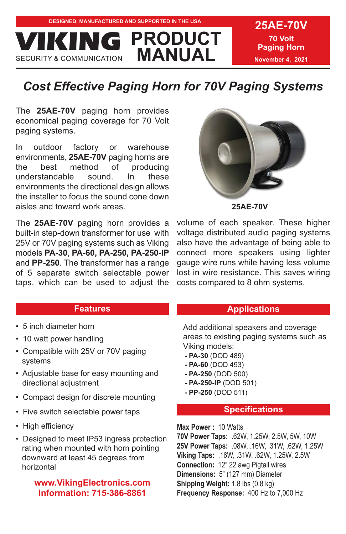**DESIGNED, MANUFACTURED AND SUPPORTED IN THE USA 25AE-70V PRODUCT MANUAL VICION** 

**70 Volt Paging Horn November 4, 2021**

# *Cost Effective Paging Horn for 70V Paging Systems*

The **25AE-70V** paging horn provides economical paging coverage for 70 Volt paging systems.

In outdoor factory or warehouse environments, **25AE-70V** paging horns are the best method of producing understandable sound. In these environments the directional design allows the installer to focus the sound cone down aisles and toward work areas.

The **25AE-70V** paging horn provides a built-in step-down transformer for use with 25V or 70V paging systems such as Viking models **PA-30**, **PA-60, PA-250, PA-250-IP** and **PP-250**. The transformer has a range of 5 separate switch selectable power taps, which can be used to adjust the



volume of each speaker. These higher voltage distributed audio paging systems also have the advantage of being able to connect more speakers using lighter gauge wire runs while having less volume lost in wire resistance. This saves wiring costs compared to 8 ohm systems.

### **Features**

- 5 inch diameter horn
- 10 watt power handling
- Compatible with 25V or 70V paging systems
- Adjustable base for easy mounting and directional adjustment
- Compact design for discrete mounting
- Five switch selectable power taps
- High efficiency
- Designed to meet IP53 ingress protection rating when mounted with horn pointing downward at least 45 degrees from horizontal

# **www.VikingElectronics.com Information: 715-386-8861**

### **Applications**

Add additional speakers and coverage areas to existing paging systems such as Viking models:

- **PA-30** (DOD 489)
- **PA-60** (DOD 493)
- **PA-250** (DOD 500)
- **PA-250-IP** (DOD 501)
- **PP-250** (DOD 511)

### **Specifications**

**Max Power :** 10 Watts **70V Power Taps:** .62W, 1.25W, 2.5W, 5W, 10W 25V Power Taps: .08W, .16W, .31W, .62W, 1.25W **Viking Taps:** .16W, .31W, .62W, 1.25W, 2.5W **Connection:** 12" 22 awg Pigtail wires **Dimensions:** 5" (127 mm) Diameter **Shipping Weight:** 1.8 lbs (0.8 kg) **Frequency Response:** 400 Hz to 7,000 Hz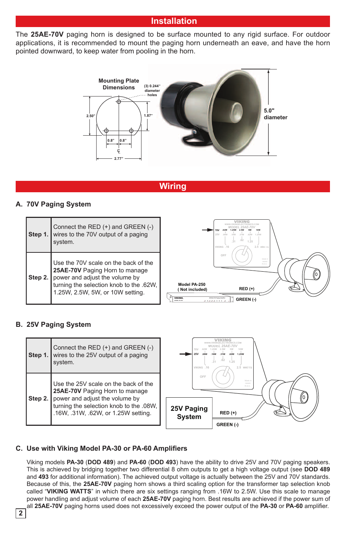## **Installation**

The **25AE-70V** paging horn is designed to be surface mounted to any rigid surface. For outdoor applications, it is recommended to mount the paging horn underneath an eave, and have the horn pointed downward, to keep water from pooling in the horn.



# **Wiring**

### **A. 70V Paging System**

| Step 1  | Connect the RED (+) and GREEN (-)<br>wires to the 70V output of a paging<br>system.                                                                                                     | .62<br>31<br>1.25<br>2.5 WATTS<br>VIKING .16                                                                                                                                                 |
|---------|-----------------------------------------------------------------------------------------------------------------------------------------------------------------------------------------|----------------------------------------------------------------------------------------------------------------------------------------------------------------------------------------------|
| Step 2. | Use the 70V scale on the back of the<br>25AE-70V Paging Horn to manage<br>power and adjust the volume by<br>turning the selection knob to the .62W,<br>1.25W, 2.5W, 5W, or 10W setting. | OFF<br>Made in<br>Telegri<br>R.O.C.<br>Model PA-250<br>$RED (+)$<br>(Not included)<br>20 Not 70 Paris And in<br><b>VIKING</b><br>GREEN (-)<br><b>HODEL PAZE</b><br>and and and in the second |

### **B. 25V Paging System**

| Step 1. | Connect the RED (+) and GREEN (-)<br>wires to the 25V output of a paging<br>system.                                                                                                        | 31<br>1.25<br>2.5 WATTS<br>VIKING .16                                                        |
|---------|--------------------------------------------------------------------------------------------------------------------------------------------------------------------------------------------|----------------------------------------------------------------------------------------------|
| Step 2. | Use the 25V scale on the back of the<br>25AE-70V Paging Horn to manage<br>power and adjust the volume by<br>turning the selection knob to the .08W,<br>.16W, .31W, .62W, or 1.25W setting. | OFF<br>Made in<br>Televin<br>R.O.C.<br>25V Paging<br>$RED (+)$<br><b>System</b><br>GREEN (-) |

### **C. Use with Viking Model PA-30 or PA-60 Amplifiers**

Viking models **PA-30** (**DOD 489**) and **PA-60** (**DOD 493**) have the ability to drive 25V and 70V paging speakers. This is achieved by bridging together two differential 8 ohm outputs to get a high voltage output (see **DOD 489** and **493** for additional information). The achieved output voltage is actually between the 25V and 70V standards. Because of this, the **25AE-70V** paging horn shows a third scaling option for the transformer tap selection knob called "**VIKING WATTS**" in which there are six settings ranging from .16W to 2.5W. Use this scale to manage power handling and adjust volume of each **25AE-70V** paging horn. Best results are achieved if the power sum of all **25AE-70V** paging horns used does not excessively exceed the power output of the **PA-30** or **PA-60** amplifier.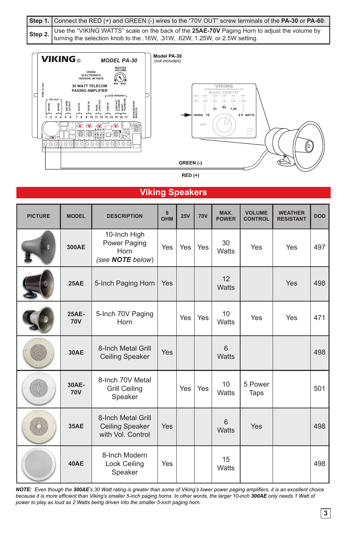| Step 1. Connect the RED (+) and GREEN (-) wires to the "70V OUT" screw terminals of the PA-30 or PA-60.                                                                          |
|----------------------------------------------------------------------------------------------------------------------------------------------------------------------------------|
| Step 2. Use the "VIKING WATTS" scale on the back of the 25AE-70V Paging Horn to adjust the volume by terming the selection knob to the .16W, .31W, .62W, 1.25W, or 2.5W setting. |



**RED (+)**

# **Viking Speakers**

| <b>PICTURE</b> | <b>MODEL</b>        | <b>DESCRIPTION</b>                                                | 8<br><b>OHM</b> | 25V        | <b>70V</b> | MAX.<br><b>POWER</b> | <b>VOLUME</b><br><b>CONTROL</b> | <b>WEATHER</b><br><b>RESISTANT</b> | <b>DOD</b> |
|----------------|---------------------|-------------------------------------------------------------------|-----------------|------------|------------|----------------------|---------------------------------|------------------------------------|------------|
|                | 300AE               | 10-Inch High<br>Power Paging<br>Horn<br>(see NOTE below)          | Yes             | Yes        | Yes        | 30<br><b>Watts</b>   | Yes                             | Yes                                | 497        |
|                | 25AE                | 5-Inch Paging Horn                                                | Yes             |            |            | 12<br>Watts          |                                 | Yes                                | 498        |
|                | 25AE-<br>70V        | 5-Inch 70V Paging<br>Horn                                         |                 | Yes        | Yes        | 10<br>Watts          | Yes                             | Yes                                | 471        |
|                | 30AE                | 8-Inch Metal Grill<br><b>Ceiling Speaker</b>                      | Yes             |            |            | 6<br>Watts           |                                 |                                    | 498        |
|                | 30AE-<br><b>70V</b> | 8-Inch 70V Metal<br><b>Grill Ceiling</b><br>Speaker               |                 | <b>Yes</b> | Yes        | 10<br>Watts          | 5 Power<br>Taps                 |                                    | 501        |
|                | <b>35AE</b>         | 8-Inch Metal Grill<br><b>Ceiling Speaker</b><br>with Vol. Control | Yes             |            |            | 6<br><b>Watts</b>    | <b>Yes</b>                      |                                    | 498        |
|                | 40AE                | 8-Inch Modern<br>Look Ceiling<br>Speaker                          | Yes             |            |            | 15<br>Watts          |                                 |                                    | 498        |

*NOTE: Even though the 300AE's 30 Watt rating is greater than some of Viking's lower power paging amplifiers, it is an excellent choice because it is more efficient than Viking's smaller 5-inch paging horns. In other words, the larger 10-inch 300AE only needs 1 Watt of power to play as loud as 2 Watts being driven into the smaller 5-inch paging horn.*